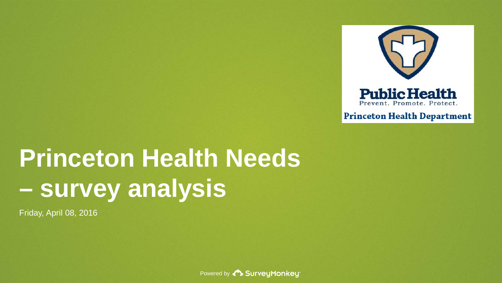

**Princeton Health Department** 

# **Princeton Health Needs – survey analysis**

Friday, April 08, 2016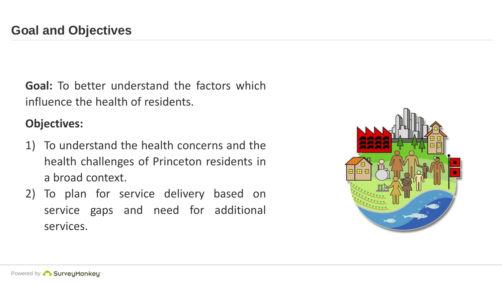**Goal:** To better understand the factors which influence the health of residents.

#### **Objectives:**

- 1) To understand the health concerns and the health challenges of Princeton residents in a broad context.
- 2) To plan for service delivery based on service gaps and need for additional services.

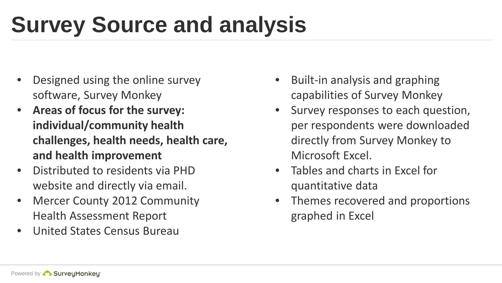# **Survey Source and analysis**

- Designed using the online survey software, Survey Monkey
- **Areas of focus for the survey: individual/community health challenges, health needs, health care, and health improvement**
- Distributed to residents via PHD website and directly via email.
- Mercer County 2012 Community Health Assessment Report
- United States Census Bureau
- Built-in analysis and graphing capabilities of Survey Monkey
- Survey responses to each question, per respondents were downloaded directly from Survey Monkey to Microsoft Excel.
- Tables and charts in Excel for quantitative data
- Themes recovered and proportions graphed in Excel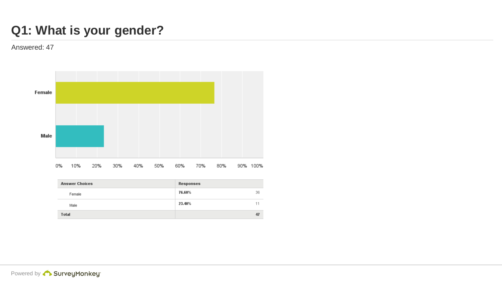# **Q1: What is your gender?**



| <b>Answer Choices</b> | Responses |    |
|-----------------------|-----------|----|
| Female                | 76.60%    | 36 |
| Male                  | 23.40%    |    |
| <b>Total</b>          |           | 47 |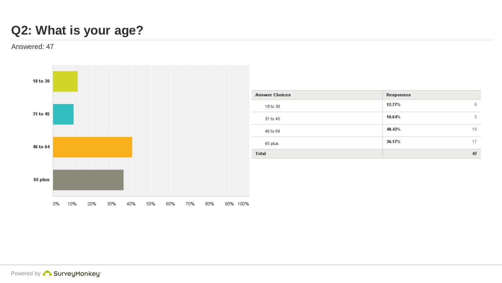## **Q2: What is your age?**

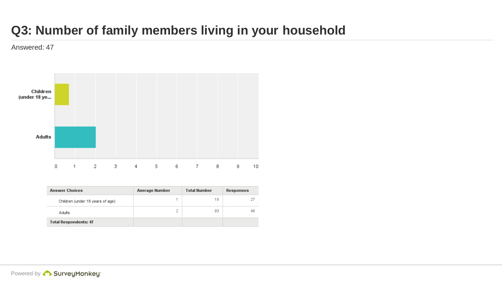# **Q3: Number of family members living in your household**



| <b>Answer Choices</b>            | <b>Average Number</b> | <b>Total Number</b> | Responses |
|----------------------------------|-----------------------|---------------------|-----------|
| Children (under 18 years of age) |                       | 19                  | 27        |
| Adults                           | 2                     | 93                  | 46        |
| <b>Total Respondents: 47</b>     |                       |                     |           |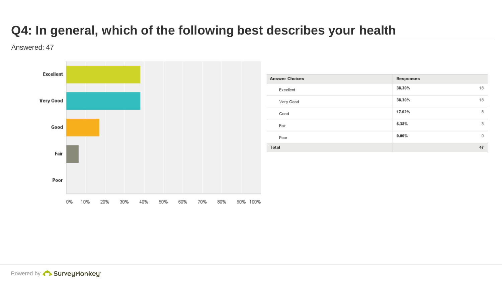# **Q4: In general, which of the following best describes your health**

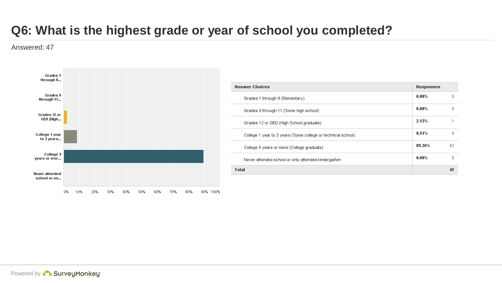# **Q6: What is the highest grade or year of school you completed?**



| <b>Answer Choices</b>                                        | <b>Responses</b> |  |
|--------------------------------------------------------------|------------------|--|
| Grades 1 through 8 (Elementary)                              | $0.00\%$         |  |
| Grades 9 through 11 (Some high school)                       | $0.00\%$         |  |
| Grades 12 or GED (High School graduate)                      | 2.13%            |  |
| College 1 year to 3 years (Some college or technical school) | 8.51%            |  |
| College 4 years or more (College graduate)                   | 89.36%           |  |
| Never attended school or only attended kindergarten          | $0.00\%$         |  |
| Total                                                        |                  |  |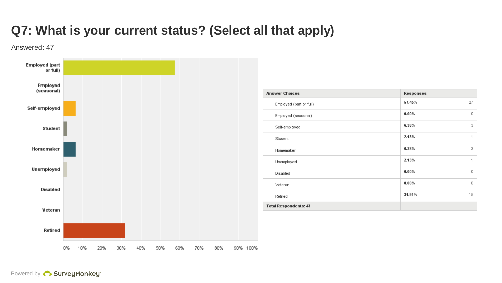# **Q7: What is your current status? (Select all that apply)**

Answered: 47



Powered by **Constant SurveyMonkey**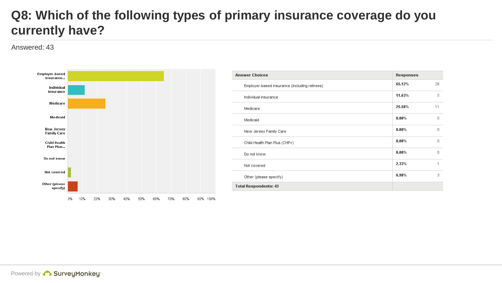#### **Q8: Which of the following types of primary insurance coverage do you currently have?**

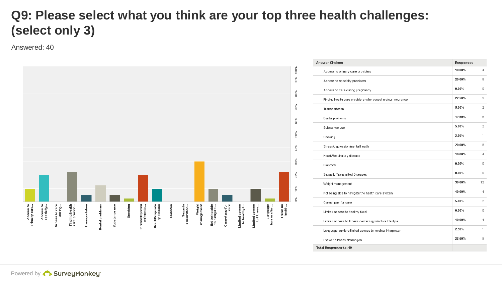# **Q9: Please select what you think are your top three health challenges: (select only 3)**



| <b>Answer Choices</b>                                     | <b>Responses</b> |                |
|-----------------------------------------------------------|------------------|----------------|
| Access to primary care providers                          | 10.00%           | $\Delta$       |
| Access to specialty providers                             | 20.00%           | 8              |
| Access to care during pregnancy                           | $0.00\%$         | $\Omega$       |
| Finding health care providers who accept my/our insurance | 22.50%           | 9              |
| Transportation                                            | 5.00%            | $\overline{2}$ |
| Dental problems                                           | 12.50%           | 5              |
| Substance use                                             | 5.00%            | $\overline{2}$ |
| Smoking                                                   | 2.50%            | 1              |
| Stress/depression/mental health                           | 20.00%           | 8              |
| Heart/Respiratory disease                                 | 10.00%           | 4              |
| <b>Diabetes</b>                                           | 0.00%            | 0              |
| Sexually Transmitted Diseases                             | $0.00\%$         | 0              |
| Weight management                                         | 30.00%           | 12             |
| Not being able to navigate the health care system         | 10.00%           | 4              |
| Cannot pay for care                                       | 5.00%            | $\overline{2}$ |
| Limited access to healthy food                            | 0.00%            | 0              |
| Limited access to fitness centers/gym/active lifestyle    | 10.00%           | 4              |
| Language barriers/limited access to medical interpreter   | 2.50%            | 1              |
| I have no health challenges                               | 22.50%           | 9              |
| <b>Total Respondents: 40</b>                              |                  |                |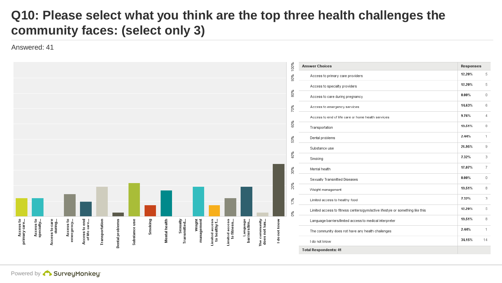### **Q10: Please select what you think are the top three health challenges the community faces: (select only 3)**

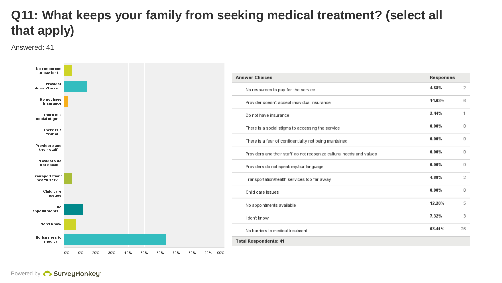# **Q11: What keeps your family from seeking medical treatment? (select all that apply)**

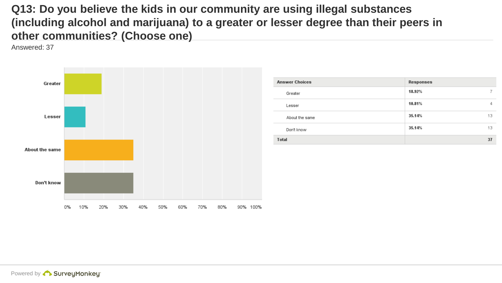**Q13: Do you believe the kids in our community are using illegal substances (including alcohol and marijuana) to a greater or lesser degree than their peers in other communities? (Choose one)**



| <b>Answer Choices</b> | Responses    |
|-----------------------|--------------|
| Greater               | 18.92%       |
| Lesser                | 10.81%<br>4  |
| About the same        | 35.14%<br>13 |
| Don't know            | 35.14%<br>13 |
| <b>Total</b>          | 37           |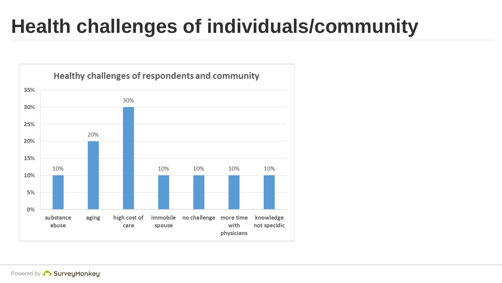# **Health challenges of individuals/community**

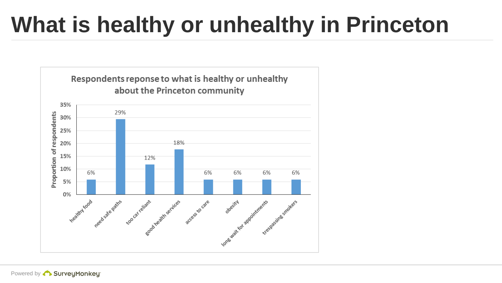# **What is healthy or unhealthy in Princeton**

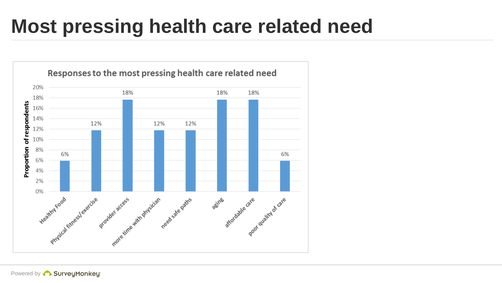# **Most pressing health care related need**